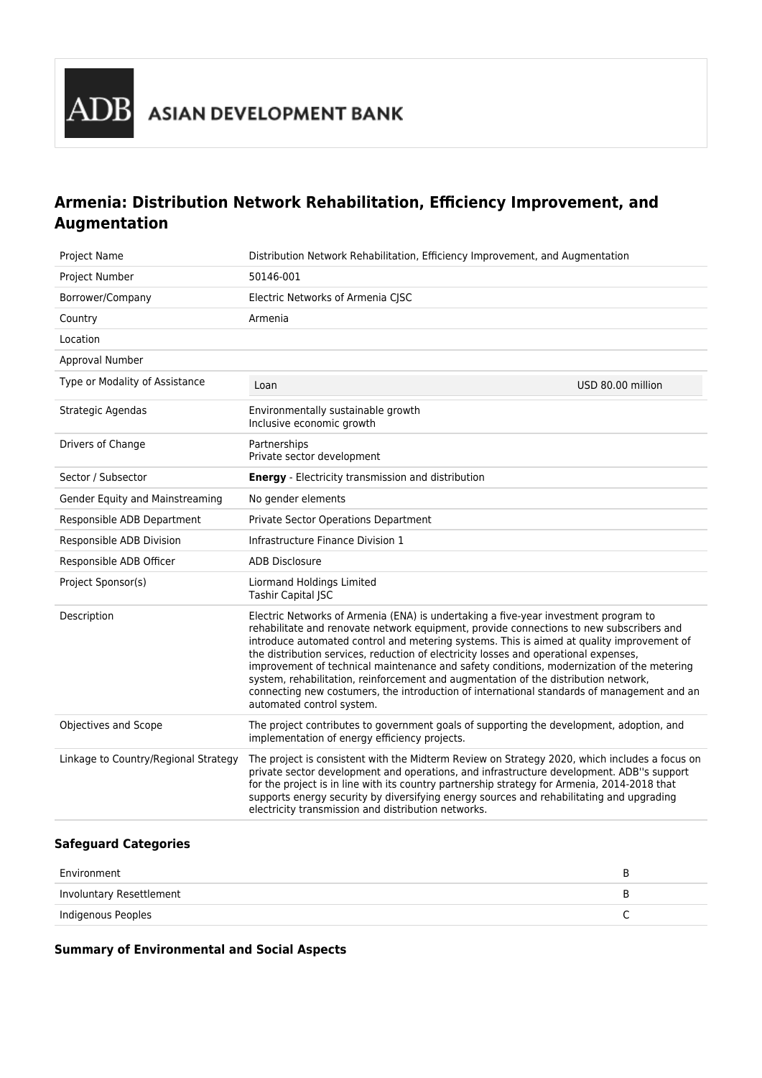## **Armenia: Distribution Network Rehabilitation, Efficiency Improvement, and Augmentation**

| <b>Project Name</b>                    | Distribution Network Rehabilitation, Efficiency Improvement, and Augmentation                                                                                                                                                                                                                                                                                                                                                                                                                                                                                                                                                                                                      |
|----------------------------------------|------------------------------------------------------------------------------------------------------------------------------------------------------------------------------------------------------------------------------------------------------------------------------------------------------------------------------------------------------------------------------------------------------------------------------------------------------------------------------------------------------------------------------------------------------------------------------------------------------------------------------------------------------------------------------------|
| Project Number                         | 50146-001                                                                                                                                                                                                                                                                                                                                                                                                                                                                                                                                                                                                                                                                          |
| Borrower/Company                       | Electric Networks of Armenia CJSC                                                                                                                                                                                                                                                                                                                                                                                                                                                                                                                                                                                                                                                  |
| Country                                | Armenia                                                                                                                                                                                                                                                                                                                                                                                                                                                                                                                                                                                                                                                                            |
| Location                               |                                                                                                                                                                                                                                                                                                                                                                                                                                                                                                                                                                                                                                                                                    |
| Approval Number                        |                                                                                                                                                                                                                                                                                                                                                                                                                                                                                                                                                                                                                                                                                    |
| Type or Modality of Assistance         | USD 80.00 million<br>Loan                                                                                                                                                                                                                                                                                                                                                                                                                                                                                                                                                                                                                                                          |
| Strategic Agendas                      | Environmentally sustainable growth<br>Inclusive economic growth                                                                                                                                                                                                                                                                                                                                                                                                                                                                                                                                                                                                                    |
| Drivers of Change                      | Partnerships<br>Private sector development                                                                                                                                                                                                                                                                                                                                                                                                                                                                                                                                                                                                                                         |
| Sector / Subsector                     | <b>Energy</b> - Electricity transmission and distribution                                                                                                                                                                                                                                                                                                                                                                                                                                                                                                                                                                                                                          |
| <b>Gender Equity and Mainstreaming</b> | No gender elements                                                                                                                                                                                                                                                                                                                                                                                                                                                                                                                                                                                                                                                                 |
| Responsible ADB Department             | Private Sector Operations Department                                                                                                                                                                                                                                                                                                                                                                                                                                                                                                                                                                                                                                               |
| Responsible ADB Division               | Infrastructure Finance Division 1                                                                                                                                                                                                                                                                                                                                                                                                                                                                                                                                                                                                                                                  |
| Responsible ADB Officer                | <b>ADB Disclosure</b>                                                                                                                                                                                                                                                                                                                                                                                                                                                                                                                                                                                                                                                              |
| Project Sponsor(s)                     | Liormand Holdings Limited<br>Tashir Capital JSC                                                                                                                                                                                                                                                                                                                                                                                                                                                                                                                                                                                                                                    |
| Description                            | Electric Networks of Armenia (ENA) is undertaking a five-year investment program to<br>rehabilitate and renovate network equipment, provide connections to new subscribers and<br>introduce automated control and metering systems. This is aimed at quality improvement of<br>the distribution services, reduction of electricity losses and operational expenses,<br>improvement of technical maintenance and safety conditions, modernization of the metering<br>system, rehabilitation, reinforcement and augmentation of the distribution network,<br>connecting new costumers, the introduction of international standards of management and an<br>automated control system. |
| Objectives and Scope                   | The project contributes to government goals of supporting the development, adoption, and<br>implementation of energy efficiency projects.                                                                                                                                                                                                                                                                                                                                                                                                                                                                                                                                          |
| Linkage to Country/Regional Strategy   | The project is consistent with the Midterm Review on Strategy 2020, which includes a focus on<br>private sector development and operations, and infrastructure development. ADB"s support<br>for the project is in line with its country partnership strategy for Armenia, 2014-2018 that<br>supports energy security by diversifying energy sources and rehabilitating and upgrading<br>electricity transmission and distribution networks.                                                                                                                                                                                                                                       |
| afaanay Catagaya                       |                                                                                                                                                                                                                                                                                                                                                                                                                                                                                                                                                                                                                                                                                    |

## **Safeguard Categories**

| Environment              |  |
|--------------------------|--|
| Involuntary Resettlement |  |
| Indigenous Peoples       |  |

## **Summary of Environmental and Social Aspects**